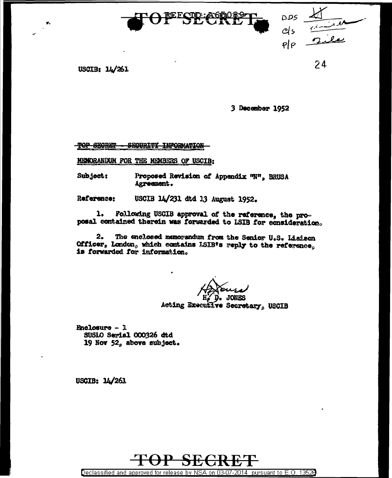

USCIB: 14/261

3 December 1952

pps<br>els<br>शेश

24

TOP SECRET SECURITY INFORMATION

MENORANDUM FOR THE MEMBERS OF USCIB:

Subject: Proposed Revision of Appendix "N", BRUSA Agreement.

USCIB 14/231 dtd 13 August 1952. Reference:

Following USCIB approval of the reference, the pro- $\mathbf{1}_{\bullet}$ posal contained therein was forwarded to LSIB for consideration.

The enclosed memorandum from the Senior U.S. Liaison  $2.$ Officer, London, which contains ISIB's reply to the reference. is forwarded for information.

Acting Executive Secretary, USCIB

**Enclosure**  $-1$ SUSLO Serial 000326 dtd 19 Nov 52, above subject.

USCIB: 14/261



Declassified and approved for release by NSA on 03-07-2014 pursuant to E.O. 13526